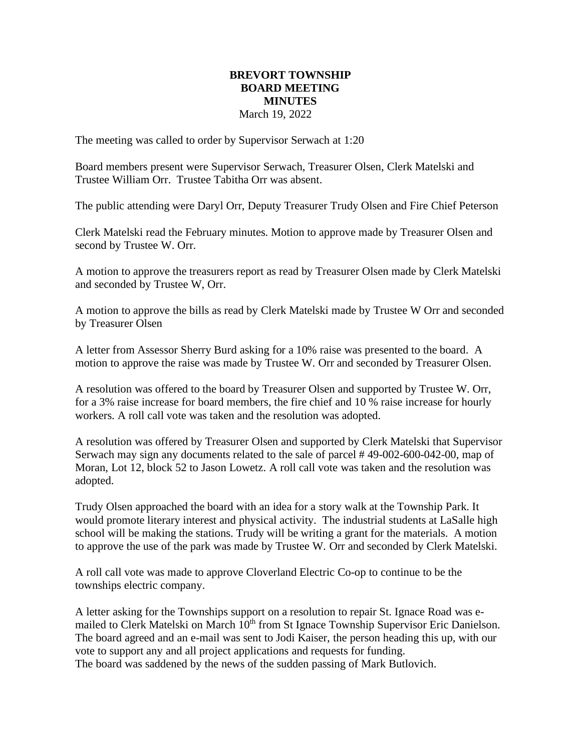## **BREVORT TOWNSHIP BOARD MEETING MINUTES** March 19, 2022

The meeting was called to order by Supervisor Serwach at 1:20

Board members present were Supervisor Serwach, Treasurer Olsen, Clerk Matelski and Trustee William Orr. Trustee Tabitha Orr was absent.

The public attending were Daryl Orr, Deputy Treasurer Trudy Olsen and Fire Chief Peterson

Clerk Matelski read the February minutes. Motion to approve made by Treasurer Olsen and second by Trustee W. Orr.

A motion to approve the treasurers report as read by Treasurer Olsen made by Clerk Matelski and seconded by Trustee W, Orr.

A motion to approve the bills as read by Clerk Matelski made by Trustee W Orr and seconded by Treasurer Olsen

A letter from Assessor Sherry Burd asking for a 10% raise was presented to the board. A motion to approve the raise was made by Trustee W. Orr and seconded by Treasurer Olsen.

A resolution was offered to the board by Treasurer Olsen and supported by Trustee W. Orr, for a 3% raise increase for board members, the fire chief and 10 % raise increase for hourly workers. A roll call vote was taken and the resolution was adopted.

A resolution was offered by Treasurer Olsen and supported by Clerk Matelski that Supervisor Serwach may sign any documents related to the sale of parcel # 49-002-600-042-00, map of Moran, Lot 12, block 52 to Jason Lowetz. A roll call vote was taken and the resolution was adopted.

Trudy Olsen approached the board with an idea for a story walk at the Township Park. It would promote literary interest and physical activity. The industrial students at LaSalle high school will be making the stations. Trudy will be writing a grant for the materials. A motion to approve the use of the park was made by Trustee W. Orr and seconded by Clerk Matelski.

A roll call vote was made to approve Cloverland Electric Co-op to continue to be the townships electric company.

A letter asking for the Townships support on a resolution to repair St. Ignace Road was emailed to Clerk Matelski on March 10<sup>th</sup> from St Ignace Township Supervisor Eric Danielson. The board agreed and an e-mail was sent to Jodi Kaiser, the person heading this up, with our vote to support any and all project applications and requests for funding. The board was saddened by the news of the sudden passing of Mark Butlovich.